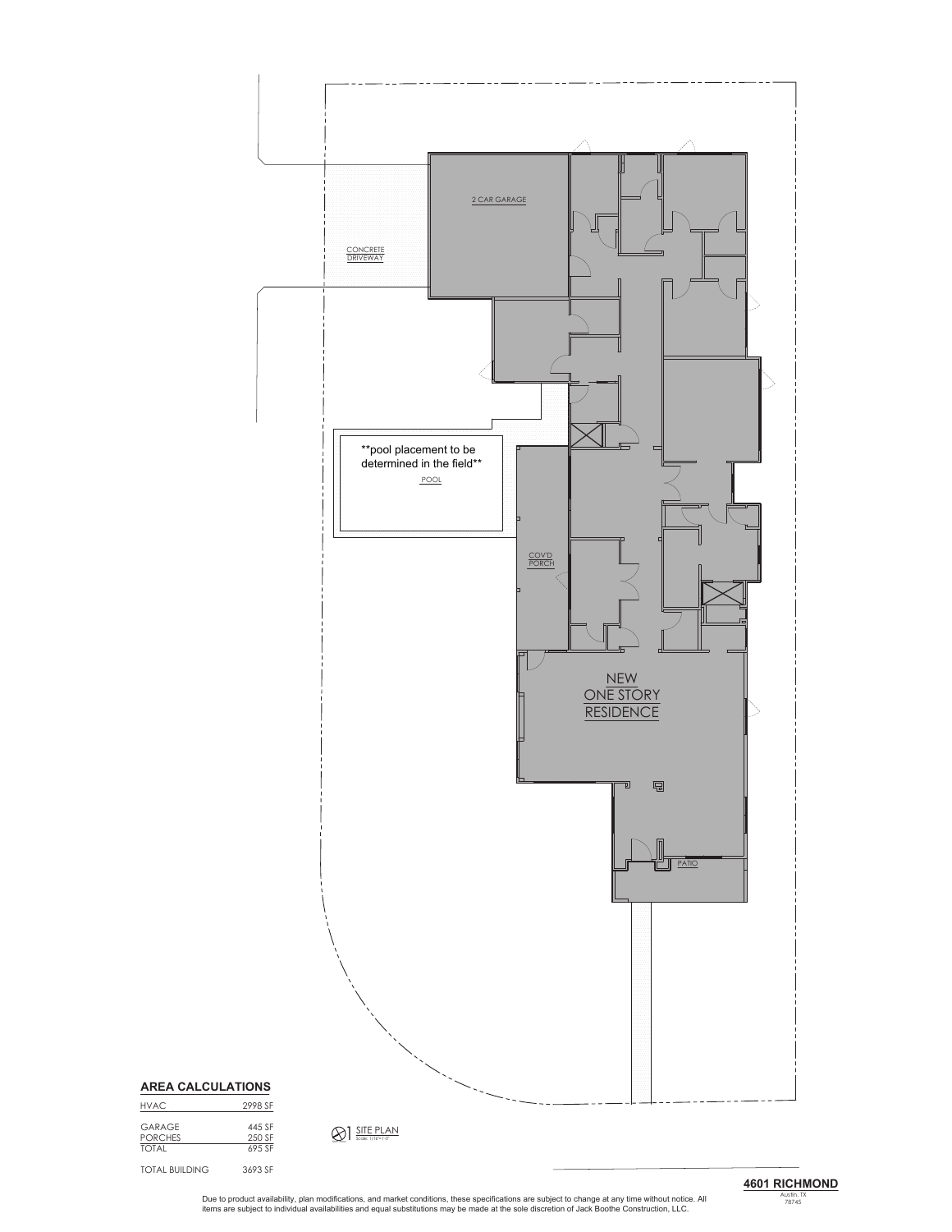

Due to product availability, plan modifications, and market conditions, these specifications are subject to change at any time without notice. All<br>items are subject to individual availabilities and equal substitutions may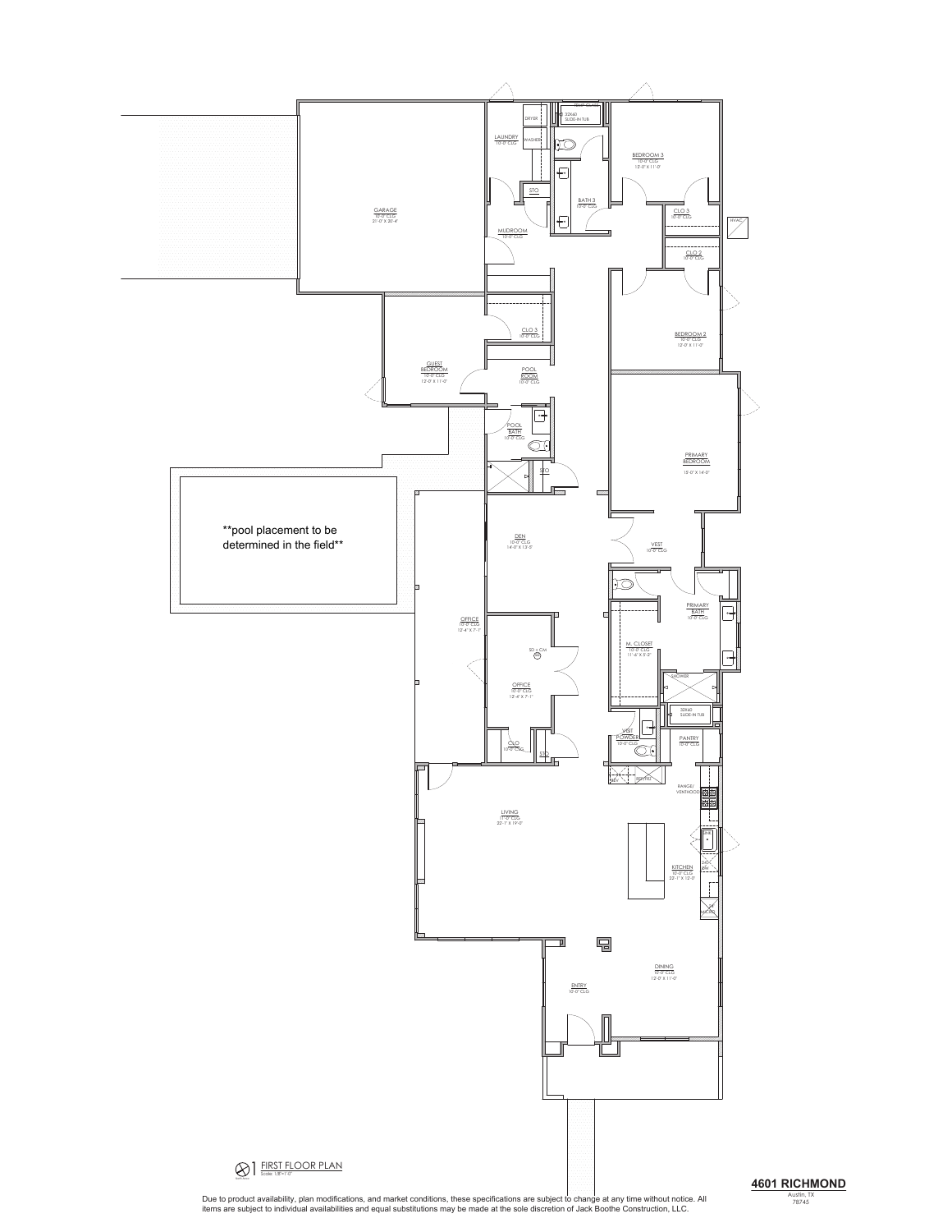

Due to product availability, plan modifications, and market conditions, these specifications are subject to change at any time without notice. All<br>Items are subject to individual availabilities and equal substitutions may